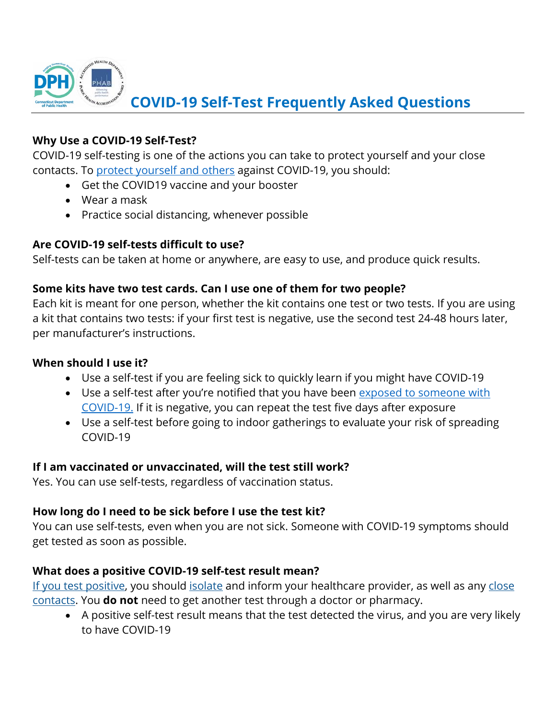

#### **Why Use a COVID-19 Self-Test?**

COVID-19 self-testing is one of the actions you can take to protect yourself and your close contacts. To [protect yourself and others](https://www.cdc.gov/coronavirus/2019-ncov/prevent-getting-sick/prevention.html) against COVID-19, you should:

- Get the COVID19 vaccine and your booster
- Wear a mask
- Practice social distancing, whenever possible

#### **Are COVID-19 self-tests difficult to use?**

Self-tests can be taken at home or anywhere, are easy to use, and produce quick results.

### **Some kits have two test cards. Can I use one of them for two people?**

Each kit is meant for one person, whether the kit contains one test or two tests. If you are using a kit that contains two tests: if your first test is negative, use the second test 24-48 hours later, per manufacturer's instructions.

#### **When should I use it?**

- Use a self-test if you are feeling sick to quickly learn if you might have COVID-19
- Use a self-test after you're notified that you have been exposed to someone with [COVID-19.](https://www.cdc.gov/coronavirus/2019-ncov/your-health/quarantine-isolation.html) If it is negative, you can repeat the test five days after exposure
- Use a self-test before going to indoor gatherings to evaluate your risk of spreading COVID-19

### **If I am vaccinated or unvaccinated, will the test still work?**

Yes. You can use self-tests, regardless of vaccination status.

### **How long do I need to be sick before I use the test kit?**

You can use self-tests, even when you are not sick. Someone with COVID-19 symptoms should get tested as soon as possible.

### **What does a positive COVID-19 self-test result mean?**

[If you test positive,](https://www.cdc.gov/coronavirus/2019-ncov/testing/self-testing.html#anchor_1620926181610) you should [isolate](https://www.cdc.gov/coronavirus/2019-ncov/your-health/quarantine-isolation.html) and inform your healthcare provider, as well as any [close](https://www.cdc.gov/coronavirus/2019-ncov/php/contact-tracing/contact-tracing-plan/appendix.html#contact)  [contacts.](https://www.cdc.gov/coronavirus/2019-ncov/php/contact-tracing/contact-tracing-plan/appendix.html#contact) You **do not** need to get another test through a doctor or pharmacy.

• A positive self-test result means that the test detected the virus, and you are very likely to have COVID-19